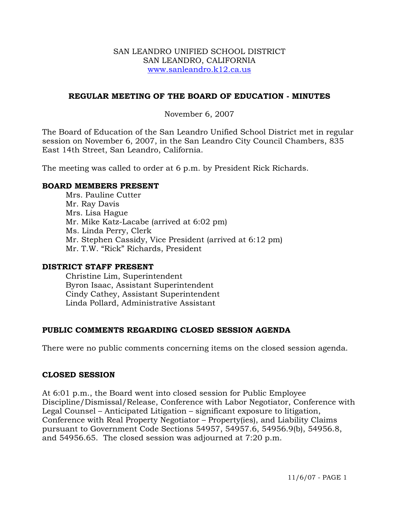### SAN LEANDRO UNIFIED SCHOOL DISTRICT SAN LEANDRO, CALIFORNIA www.sanleandro.k12.ca.us

## **REGULAR MEETING OF THE BOARD OF EDUCATION - MINUTES**

## November 6, 2007

The Board of Education of the San Leandro Unified School District met in regular session on November 6, 2007, in the San Leandro City Council Chambers, 835 East 14th Street, San Leandro, California.

The meeting was called to order at 6 p.m. by President Rick Richards.

#### **BOARD MEMBERS PRESENT**

Mrs. Pauline Cutter Mr. Ray Davis Mrs. Lisa Hague Mr. Mike Katz-Lacabe (arrived at 6:02 pm) Ms. Linda Perry, Clerk Mr. Stephen Cassidy, Vice President (arrived at 6:12 pm) Mr. T.W. "Rick" Richards, President

#### **DISTRICT STAFF PRESENT**

Christine Lim, Superintendent Byron Isaac, Assistant Superintendent Cindy Cathey, Assistant Superintendent Linda Pollard, Administrative Assistant

# **PUBLIC COMMENTS REGARDING CLOSED SESSION AGENDA**

There were no public comments concerning items on the closed session agenda.

#### **CLOSED SESSION**

At 6:01 p.m., the Board went into closed session for Public Employee Discipline/Dismissal/Release, Conference with Labor Negotiator, Conference with Legal Counsel – Anticipated Litigation – significant exposure to litigation, Conference with Real Property Negotiator – Property(ies), and Liability Claims pursuant to Government Code Sections 54957, 54957.6, 54956.9(b), 54956.8, and 54956.65. The closed session was adjourned at 7:20 p.m.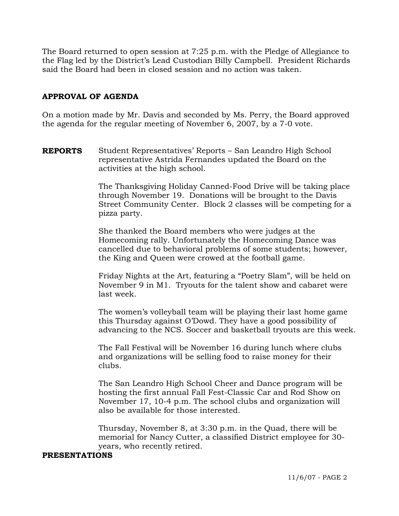The Board returned to open session at 7:25 p.m. with the Pledge of Allegiance to the Flag led by the District's Lead Custodian Billy Campbell. President Richards said the Board had been in closed session and no action was taken.

## **APPROVAL OF AGENDA**

On a motion made by Mr. Davis and seconded by Ms. Perry, the Board approved the agenda for the regular meeting of November 6, 2007, by a 7-0 vote.

**REPORTS** Student Representatives' Reports – San Leandro High School representative Astrida Fernandes updated the Board on the activities at the high school.

> The Thanksgiving Holiday Canned-Food Drive will be taking place through November 19. Donations will be brought to the Davis Street Community Center. Block 2 classes will be competing for a pizza party.

She thanked the Board members who were judges at the Homecoming rally. Unfortunately the Homecoming Dance was cancelled due to behavioral problems of some students; however, the King and Queen were crowed at the football game.

Friday Nights at the Art, featuring a "Poetry Slam", will be held on November 9 in M1. Tryouts for the talent show and cabaret were last week.

The women's volleyball team will be playing their last home game this Thursday against O'Dowd. They have a good possibility of advancing to the NCS. Soccer and basketball tryouts are this week.

The Fall Festival will be November 16 during lunch where clubs and organizations will be selling food to raise money for their clubs.

The San Leandro High School Cheer and Dance program will be hosting the first annual Fall Fest-Classic Car and Rod Show on November 17, 10-4 p.m. The school clubs and organization will also be available for those interested.

Thursday, November 8, at 3:30 p.m. in the Quad, there will be memorial for Nancy Cutter, a classified District employee for 30 years, who recently retired.

#### **PRESENTATIONS**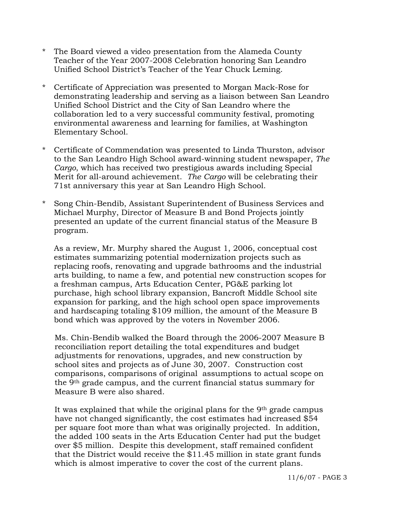- \* The Board viewed a video presentation from the Alameda County Teacher of the Year 2007-2008 Celebration honoring San Leandro Unified School District's Teacher of the Year Chuck Leming.
- \* Certificate of Appreciation was presented to Morgan Mack-Rose for demonstrating leadership and serving as a liaison between San Leandro Unified School District and the City of San Leandro where the collaboration led to a very successful community festival, promoting environmental awareness and learning for families, at Washington Elementary School.
- \* Certificate of Commendation was presented to Linda Thurston, advisor to the San Leandro High School award-winning student newspaper, *The Cargo*, which has received two prestigious awards including Special Merit for all-around achievement. *The Cargo* will be celebrating their 71st anniversary this year at San Leandro High School.
- \* Song Chin-Bendib, Assistant Superintendent of Business Services and Michael Murphy, Director of Measure B and Bond Projects jointly presented an update of the current financial status of the Measure B program.

 As a review, Mr. Murphy shared the August 1, 2006, conceptual cost estimates summarizing potential modernization projects such as replacing roofs, renovating and upgrade bathrooms and the industrial arts building, to name a few, and potential new construction scopes for a freshman campus, Arts Education Center, PG&E parking lot purchase, high school library expansion, Bancroft Middle School site expansion for parking, and the high school open space improvements and hardscaping totaling \$109 million, the amount of the Measure B bond which was approved by the voters in November 2006.

 Ms. Chin-Bendib walked the Board through the 2006-2007 Measure B reconciliation report detailing the total expenditures and budget adjustments for renovations, upgrades, and new construction by school sites and projects as of June 30, 2007. Construction cost comparisons, comparisons of original assumptions to actual scope on the 9th grade campus, and the current financial status summary for Measure B were also shared.

 It was explained that while the original plans for the 9th grade campus have not changed significantly, the cost estimates had increased \$54 per square foot more than what was originally projected. In addition, the added 100 seats in the Arts Education Center had put the budget over \$5 million. Despite this development, staff remained confident that the District would receive the \$11.45 million in state grant funds which is almost imperative to cover the cost of the current plans.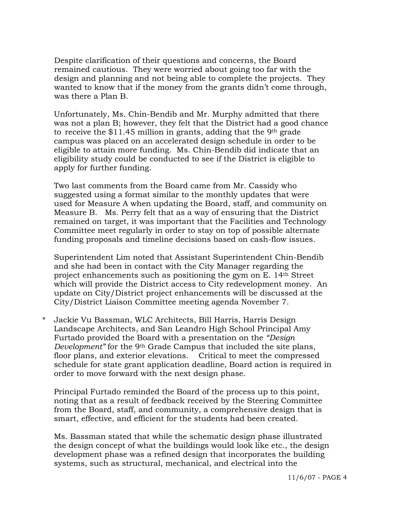Despite clarification of their questions and concerns, the Board remained cautious. They were worried about going too far with the design and planning and not being able to complete the projects. They wanted to know that if the money from the grants didn't come through, was there a Plan B.

 Unfortunately, Ms. Chin-Bendib and Mr. Murphy admitted that there was not a plan B; however, they felt that the District had a good chance to receive the \$11.45 million in grants, adding that the 9th grade campus was placed on an accelerated design schedule in order to be eligible to attain more funding. Ms. Chin-Bendib did indicate that an eligibility study could be conducted to see if the District is eligible to apply for further funding.

 Two last comments from the Board came from Mr. Cassidy who suggested using a format similar to the monthly updates that were used for Measure A when updating the Board, staff, and community on Measure B. Ms. Perry felt that as a way of ensuring that the District remained on target, it was important that the Facilities and Technology Committee meet regularly in order to stay on top of possible alternate funding proposals and timeline decisions based on cash-flow issues.

 Superintendent Lim noted that Assistant Superintendent Chin-Bendib and she had been in contact with the City Manager regarding the project enhancements such as positioning the gym on E. 14th Street which will provide the District access to City redevelopment money. An update on City/District project enhancements will be discussed at the City/District Liaison Committee meeting agenda November 7.

\* Jackie Vu Bassman, WLC Architects, Bill Harris, Harris Design Landscape Architects, and San Leandro High School Principal Amy Furtado provided the Board with a presentation on the *"Design Development*" for the 9<sup>th</sup> Grade Campus that included the site plans, floor plans, and exterior elevations. Critical to meet the compressed schedule for state grant application deadline, Board action is required in order to move forward with the next design phase.

 Principal Furtado reminded the Board of the process up to this point, noting that as a result of feedback received by the Steering Committee from the Board, staff, and community, a comprehensive design that is smart, effective, and efficient for the students had been created.

 Ms. Bassman stated that while the schematic design phase illustrated the design concept of what the buildings would look like etc., the design development phase was a refined design that incorporates the building systems, such as structural, mechanical, and electrical into the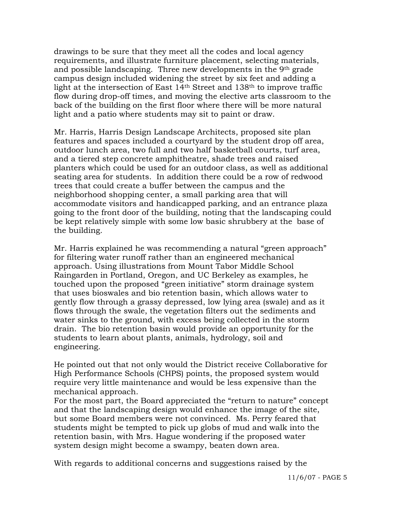drawings to be sure that they meet all the codes and local agency requirements, and illustrate furniture placement, selecting materials, and possible landscaping. Three new developments in the 9th grade campus design included widening the street by six feet and adding a light at the intersection of East 14th Street and 138th to improve traffic flow during drop-off times, and moving the elective arts classroom to the back of the building on the first floor where there will be more natural light and a patio where students may sit to paint or draw.

 Mr. Harris, Harris Design Landscape Architects, proposed site plan features and spaces included a courtyard by the student drop off area, outdoor lunch area, two full and two half basketball courts, turf area, and a tiered step concrete amphitheatre, shade trees and raised planters which could be used for an outdoor class, as well as additional seating area for students. In addition there could be a row of redwood trees that could create a buffer between the campus and the neighborhood shopping center, a small parking area that will accommodate visitors and handicapped parking, and an entrance plaza going to the front door of the building, noting that the landscaping could be kept relatively simple with some low basic shrubbery at the base of the building.

 Mr. Harris explained he was recommending a natural "green approach" for filtering water runoff rather than an engineered mechanical approach. Using illustrations from Mount Tabor Middle School Raingarden in Portland, Oregon, and UC Berkeley as examples, he touched upon the proposed "green initiative" storm drainage system that uses bioswales and bio retention basin, which allows water to gently flow through a grassy depressed, low lying area (swale) and as it flows through the swale, the vegetation filters out the sediments and water sinks to the ground, with excess being collected in the storm drain. The bio retention basin would provide an opportunity for the students to learn about plants, animals, hydrology, soil and engineering.

 He pointed out that not only would the District receive Collaborative for High Performance Schools (CHPS) points, the proposed system would require very little maintenance and would be less expensive than the mechanical approach.

 For the most part, the Board appreciated the "return to nature" concept and that the landscaping design would enhance the image of the site, but some Board members were not convinced. Ms. Perry feared that students might be tempted to pick up globs of mud and walk into the retention basin, with Mrs. Hague wondering if the proposed water system design might become a swampy, beaten down area.

With regards to additional concerns and suggestions raised by the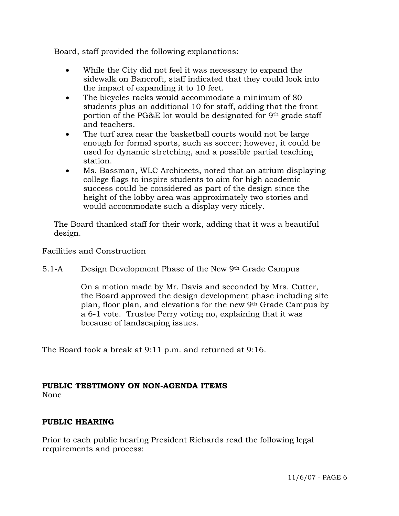Board, staff provided the following explanations:

- While the City did not feel it was necessary to expand the sidewalk on Bancroft, staff indicated that they could look into the impact of expanding it to 10 feet.
- The bicycles racks would accommodate a minimum of 80 students plus an additional 10 for staff, adding that the front portion of the PG&E lot would be designated for 9th grade staff and teachers.
- The turf area near the basketball courts would not be large enough for formal sports, such as soccer; however, it could be used for dynamic stretching, and a possible partial teaching station.
- Ms. Bassman, WLC Architects, noted that an atrium displaying college flags to inspire students to aim for high academic success could be considered as part of the design since the height of the lobby area was approximately two stories and would accommodate such a display very nicely.

 The Board thanked staff for their work, adding that it was a beautiful design.

# Facilities and Construction

# 5.1-A Design Development Phase of the New 9th Grade Campus

On a motion made by Mr. Davis and seconded by Mrs. Cutter, the Board approved the design development phase including site plan, floor plan, and elevations for the new 9th Grade Campus by a 6-1 vote. Trustee Perry voting no, explaining that it was because of landscaping issues.

The Board took a break at 9:11 p.m. and returned at 9:16.

# **PUBLIC TESTIMONY ON NON-AGENDA ITEMS**

None

# **PUBLIC HEARING**

Prior to each public hearing President Richards read the following legal requirements and process: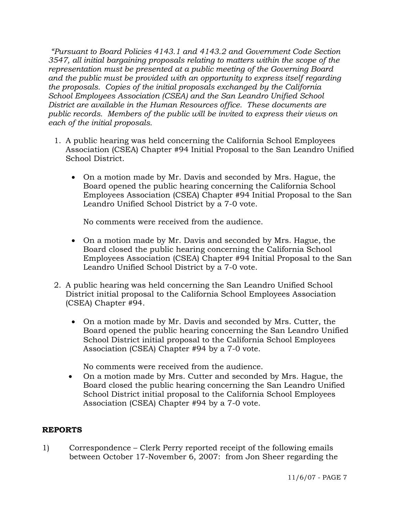*"Pursuant to Board Policies 4143.1 and 4143.2 and Government Code Section 3547, all initial bargaining proposals relating to matters within the scope of the representation must be presented at a public meeting of the Governing Board and the public must be provided with an opportunity to express itself regarding the proposals. Copies of the initial proposals exchanged by the California School Employees Association (CSEA) and the San Leandro Unified School District are available in the Human Resources office. These documents are public records. Members of the public will be invited to express their views on each of the initial proposals.* 

- 1. A public hearing was held concerning the California School Employees Association (CSEA) Chapter #94 Initial Proposal to the San Leandro Unified School District.
	- On a motion made by Mr. Davis and seconded by Mrs. Hague, the Board opened the public hearing concerning the California School Employees Association (CSEA) Chapter #94 Initial Proposal to the San Leandro Unified School District by a 7-0 vote.

No comments were received from the audience.

- On a motion made by Mr. Davis and seconded by Mrs. Hague, the Board closed the public hearing concerning the California School Employees Association (CSEA) Chapter #94 Initial Proposal to the San Leandro Unified School District by a 7-0 vote.
- 2. A public hearing was held concerning the San Leandro Unified School District initial proposal to the California School Employees Association (CSEA) Chapter #94.
	- On a motion made by Mr. Davis and seconded by Mrs. Cutter, the Board opened the public hearing concerning the San Leandro Unified School District initial proposal to the California School Employees Association (CSEA) Chapter #94 by a 7-0 vote.

No comments were received from the audience.

• On a motion made by Mrs. Cutter and seconded by Mrs. Hague, the Board closed the public hearing concerning the San Leandro Unified School District initial proposal to the California School Employees Association (CSEA) Chapter #94 by a 7-0 vote.

# **REPORTS**

1) Correspondence – Clerk Perry reported receipt of the following emails between October 17-November 6, 2007: from Jon Sheer regarding the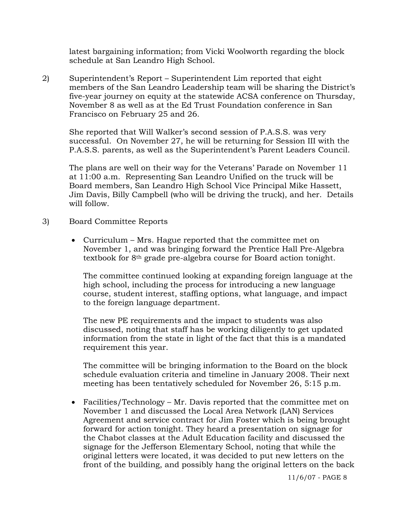latest bargaining information; from Vicki Woolworth regarding the block schedule at San Leandro High School.

2) Superintendent's Report – Superintendent Lim reported that eight members of the San Leandro Leadership team will be sharing the District's five-year journey on equity at the statewide ACSA conference on Thursday, November 8 as well as at the Ed Trust Foundation conference in San Francisco on February 25 and 26.

She reported that Will Walker's second session of P.A.S.S. was very successful. On November 27, he will be returning for Session III with the P.A.S.S. parents, as well as the Superintendent's Parent Leaders Council.

The plans are well on their way for the Veterans' Parade on November 11 at 11:00 a.m. Representing San Leandro Unified on the truck will be Board members, San Leandro High School Vice Principal Mike Hassett, Jim Davis, Billy Campbell (who will be driving the truck), and her. Details will follow.

- 3) Board Committee Reports
	- Curriculum Mrs. Hague reported that the committee met on November 1, and was bringing forward the Prentice Hall Pre-Algebra textbook for 8th grade pre-algebra course for Board action tonight.

 The committee continued looking at expanding foreign language at the high school, including the process for introducing a new language course, student interest, staffing options, what language, and impact to the foreign language department.

 The new PE requirements and the impact to students was also discussed, noting that staff has be working diligently to get updated information from the state in light of the fact that this is a mandated requirement this year.

 The committee will be bringing information to the Board on the block schedule evaluation criteria and timeline in January 2008. Their next meeting has been tentatively scheduled for November 26, 5:15 p.m.

• Facilities/Technology – Mr. Davis reported that the committee met on November 1 and discussed the Local Area Network (LAN) Services Agreement and service contract for Jim Foster which is being brought forward for action tonight. They heard a presentation on signage for the Chabot classes at the Adult Education facility and discussed the signage for the Jefferson Elementary School, noting that while the original letters were located, it was decided to put new letters on the front of the building, and possibly hang the original letters on the back

11/6/07 - PAGE 8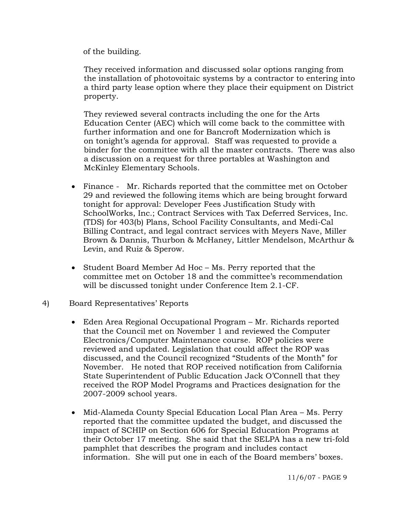of the building.

 They received information and discussed solar options ranging from the installation of photovoitaic systems by a contractor to entering into a third party lease option where they place their equipment on District property.

 They reviewed several contracts including the one for the Arts Education Center (AEC) which will come back to the committee with further information and one for Bancroft Modernization which is on tonight's agenda for approval. Staff was requested to provide a binder for the committee with all the master contracts. There was also a discussion on a request for three portables at Washington and McKinley Elementary Schools.

- Finance Mr. Richards reported that the committee met on October 29 and reviewed the following items which are being brought forward tonight for approval: Developer Fees Justification Study with SchoolWorks, Inc.; Contract Services with Tax Deferred Services, Inc. (TDS) for 403(b) Plans, School Facility Consultants, and Medi-Cal Billing Contract, and legal contract services with Meyers Nave, Miller Brown & Dannis, Thurbon & McHaney, Littler Mendelson, McArthur & Levin, and Ruiz & Sperow.
- Student Board Member Ad Hoc Ms. Perry reported that the committee met on October 18 and the committee's recommendation will be discussed tonight under Conference Item 2.1-CF.
- 4) Board Representatives' Reports
	- Eden Area Regional Occupational Program Mr. Richards reported that the Council met on November 1 and reviewed the Computer Electronics/Computer Maintenance course. ROP policies were reviewed and updated. Legislation that could affect the ROP was discussed, and the Council recognized "Students of the Month" for November. He noted that ROP received notification from California State Superintendent of Public Education Jack O'Connell that they received the ROP Model Programs and Practices designation for the 2007-2009 school years.
	- Mid-Alameda County Special Education Local Plan Area Ms. Perry reported that the committee updated the budget, and discussed the impact of SCHIP on Section 606 for Special Education Programs at their October 17 meeting. She said that the SELPA has a new tri-fold pamphlet that describes the program and includes contact information. She will put one in each of the Board members' boxes.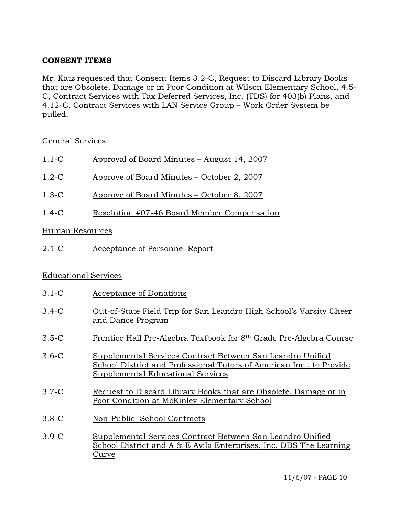# **CONSENT ITEMS**

Mr. Katz requested that Consent Items 3.2-C, Request to Discard Library Books that are Obsolete, Damage or in Poor Condition at Wilson Elementary School, 4.5- C, Contract Services with Tax Deferred Services, Inc. (TDS) for 403(b) Plans, and 4.12-C, Contract Services with LAN Service Group – Work Order System be pulled.

# General Services

| $1.1-C$<br>Approval of Board Minutes – August 14, 2007 |
|--------------------------------------------------------|
|--------------------------------------------------------|

- 1.2-C Approve of Board Minutes October 2, 2007
- 1.3-C Approve of Board Minutes October 8, 2007
- 1.4-C Resolution #07-46 Board Member Compensation

# Human Resources

2.1-C Acceptance of Personnel Report

# Educational Services

- 3.1-C Acceptance of Donations
- 3.4-C Out-of-State Field Trip for San Leandro High School's Varsity Cheer and Dance Program
- 3.5-C Prentice Hall Pre-Algebra Textbook for 8th Grade Pre-Algebra Course
- 3.6-C Supplemental Services Contract Between San Leandro Unified School District and Professional Tutors of American Inc., to Provide Supplemental Educational Services
- 3.7-C Request to Discard Library Books that are Obsolete, Damage or in Poor Condition at McKinley Elementary School
- 3.8-C Non-Public School Contracts
- 3.9-C Supplemental Services Contract Between San Leandro Unified School District and A & E Avila Enterprises, Inc. DBS The Learning Curve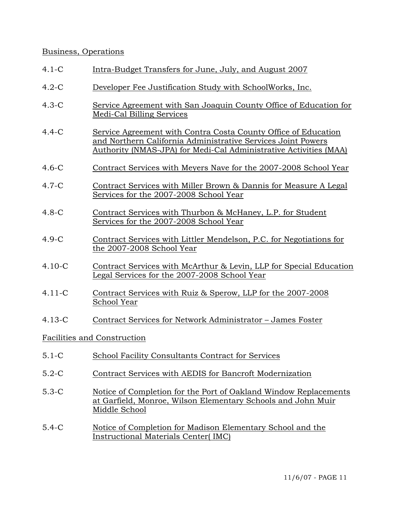### Business, Operations

| $4.1-C$ | Intra-Budget Transfers for June, July, and August 2007 |  |
|---------|--------------------------------------------------------|--|
|         |                                                        |  |

- 4.2-C Developer Fee Justification Study with SchoolWorks, Inc.
- 4.3-C Service Agreement with San Joaquin County Office of Education for Medi-Cal Billing Services
- 4.4-C Service Agreement with Contra Costa County Office of Education and Northern California Administrative Services Joint Powers Authority (NMAS-JPA) for Medi-Cal Administrative Activities (MAA)
- 4.6-C Contract Services with Meyers Nave for the 2007-2008 School Year
- 4.7-C Contract Services with Miller Brown & Dannis for Measure A Legal Services for the 2007-2008 School Year
- 4.8-C Contract Services with Thurbon & McHaney, L.P. for Student Services for the 2007-2008 School Year
- 4.9-C Contract Services with Littler Mendelson, P.C. for Negotiations for the 2007-2008 School Year
- 4.10-C Contract Services with McArthur & Levin, LLP for Special Education Legal Services for the 2007-2008 School Year
- 4.11-C Contract Services with Ruiz & Sperow, LLP for the 2007-2008 School Year
- 4.13-C Contract Services for Network Administrator James Foster

#### Facilities and Construction

- 5.1-C School Facility Consultants Contract for Services
- 5.2-C Contract Services with AEDIS for Bancroft Modernization
- 5.3-C Notice of Completion for the Port of Oakland Window Replacements at Garfield, Monroe, Wilson Elementary Schools and John Muir Middle School
- 5.4-C Notice of Completion for Madison Elementary School and the Instructional Materials Center( IMC)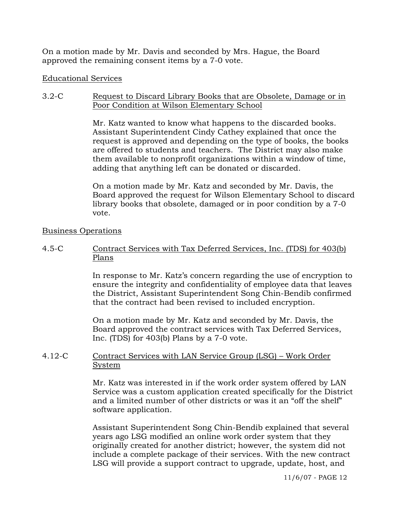On a motion made by Mr. Davis and seconded by Mrs. Hague, the Board approved the remaining consent items by a 7-0 vote.

### Educational Services

## 3.2-C Request to Discard Library Books that are Obsolete, Damage or in Poor Condition at Wilson Elementary School

Mr. Katz wanted to know what happens to the discarded books. Assistant Superintendent Cindy Cathey explained that once the request is approved and depending on the type of books, the books are offered to students and teachers. The District may also make them available to nonprofit organizations within a window of time, adding that anything left can be donated or discarded.

On a motion made by Mr. Katz and seconded by Mr. Davis, the Board approved the request for Wilson Elementary School to discard library books that obsolete, damaged or in poor condition by a 7-0 vote.

### Business Operations

# 4.5-C Contract Services with Tax Deferred Services, Inc. (TDS) for 403(b) Plans

In response to Mr. Katz's concern regarding the use of encryption to ensure the integrity and confidentiality of employee data that leaves the District, Assistant Superintendent Song Chin-Bendib confirmed that the contract had been revised to included encryption.

On a motion made by Mr. Katz and seconded by Mr. Davis, the Board approved the contract services with Tax Deferred Services, Inc. (TDS) for 403(b) Plans by a 7-0 vote.

# 4.12-C Contract Services with LAN Service Group (LSG) – Work Order System

Mr. Katz was interested in if the work order system offered by LAN Service was a custom application created specifically for the District and a limited number of other districts or was it an "off the shelf" software application.

Assistant Superintendent Song Chin-Bendib explained that several years ago LSG modified an online work order system that they originally created for another district; however, the system did not include a complete package of their services. With the new contract LSG will provide a support contract to upgrade, update, host, and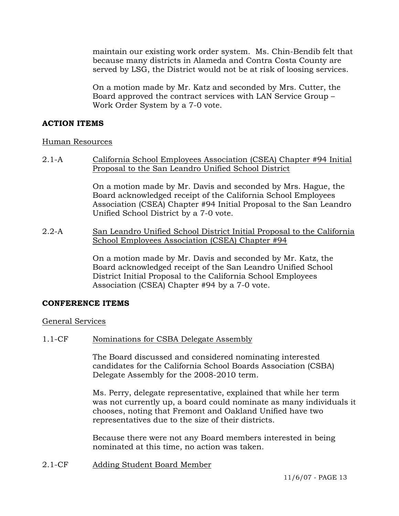maintain our existing work order system. Ms. Chin-Bendib felt that because many districts in Alameda and Contra Costa County are served by LSG, the District would not be at risk of loosing services.

On a motion made by Mr. Katz and seconded by Mrs. Cutter, the Board approved the contract services with LAN Service Group – Work Order System by a 7-0 vote.

# **ACTION ITEMS**

# Human Resources

2.1-A California School Employees Association (CSEA) Chapter #94 Initial Proposal to the San Leandro Unified School District

> On a motion made by Mr. Davis and seconded by Mrs. Hague, the Board acknowledged receipt of the California School Employees Association (CSEA) Chapter #94 Initial Proposal to the San Leandro Unified School District by a 7-0 vote.

2.2-A San Leandro Unified School District Initial Proposal to the California School Employees Association (CSEA) Chapter #94

> On a motion made by Mr. Davis and seconded by Mr. Katz, the Board acknowledged receipt of the San Leandro Unified School District Initial Proposal to the California School Employees Association (CSEA) Chapter #94 by a 7-0 vote.

# **CONFERENCE ITEMS**

General Services

1.1-CF Nominations for CSBA Delegate Assembly

The Board discussed and considered nominating interested candidates for the California School Boards Association (CSBA) Delegate Assembly for the 2008-2010 term.

Ms. Perry, delegate representative, explained that while her term was not currently up, a board could nominate as many individuals it chooses, noting that Fremont and Oakland Unified have two representatives due to the size of their districts.

Because there were not any Board members interested in being nominated at this time, no action was taken.

2.1-CF Adding Student Board Member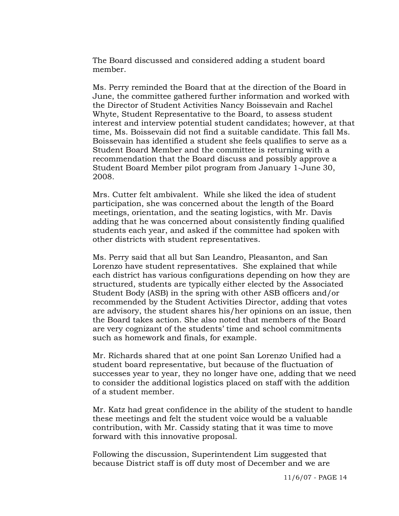The Board discussed and considered adding a student board member.

Ms. Perry reminded the Board that at the direction of the Board in June, the committee gathered further information and worked with the Director of Student Activities Nancy Boissevain and Rachel Whyte, Student Representative to the Board, to assess student interest and interview potential student candidates; however, at that time, Ms. Boissevain did not find a suitable candidate. This fall Ms. Boissevain has identified a student she feels qualifies to serve as a Student Board Member and the committee is returning with a recommendation that the Board discuss and possibly approve a Student Board Member pilot program from January 1-June 30, 2008.

Mrs. Cutter felt ambivalent. While she liked the idea of student participation, she was concerned about the length of the Board meetings, orientation, and the seating logistics, with Mr. Davis adding that he was concerned about consistently finding qualified students each year, and asked if the committee had spoken with other districts with student representatives.

Ms. Perry said that all but San Leandro, Pleasanton, and San Lorenzo have student representatives. She explained that while each district has various configurations depending on how they are structured, students are typically either elected by the Associated Student Body (ASB) in the spring with other ASB officers and/or recommended by the Student Activities Director, adding that votes are advisory, the student shares his/her opinions on an issue, then the Board takes action. She also noted that members of the Board are very cognizant of the students' time and school commitments such as homework and finals, for example.

Mr. Richards shared that at one point San Lorenzo Unified had a student board representative, but because of the fluctuation of successes year to year, they no longer have one, adding that we need to consider the additional logistics placed on staff with the addition of a student member.

Mr. Katz had great confidence in the ability of the student to handle these meetings and felt the student voice would be a valuable contribution, with Mr. Cassidy stating that it was time to move forward with this innovative proposal.

Following the discussion, Superintendent Lim suggested that because District staff is off duty most of December and we are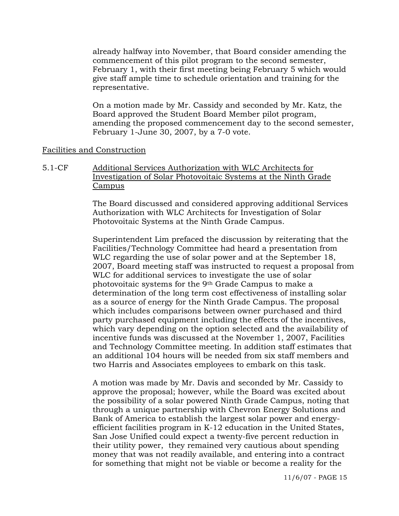already halfway into November, that Board consider amending the commencement of this pilot program to the second semester, February 1, with their first meeting being February 5 which would give staff ample time to schedule orientation and training for the representative.

On a motion made by Mr. Cassidy and seconded by Mr. Katz, the Board approved the Student Board Member pilot program, amending the proposed commencement day to the second semester, February 1-June 30, 2007, by a 7-0 vote.

#### Facilities and Construction

5.1-CF Additional Services Authorization with WLC Architects for Investigation of Solar Photovoitaic Systems at the Ninth Grade Campus

> The Board discussed and considered approving additional Services Authorization with WLC Architects for Investigation of Solar Photovoitaic Systems at the Ninth Grade Campus.

Superintendent Lim prefaced the discussion by reiterating that the Facilities/Technology Committee had heard a presentation from WLC regarding the use of solar power and at the September 18, 2007, Board meeting staff was instructed to request a proposal from WLC for additional services to investigate the use of solar photovoitaic systems for the 9th Grade Campus to make a determination of the long term cost effectiveness of installing solar as a source of energy for the Ninth Grade Campus. The proposal which includes comparisons between owner purchased and third party purchased equipment including the effects of the incentives, which vary depending on the option selected and the availability of incentive funds was discussed at the November 1, 2007, Facilities and Technology Committee meeting. In addition staff estimates that an additional 104 hours will be needed from six staff members and two Harris and Associates employees to embark on this task.

A motion was made by Mr. Davis and seconded by Mr. Cassidy to approve the proposal; however, while the Board was excited about the possibility of a solar powered Ninth Grade Campus, noting that through a unique partnership with Chevron Energy Solutions and Bank of America to establish the largest solar power and energyefficient facilities program in K-12 education in the United States, San Jose Unified could expect a twenty-five percent reduction in their utility power, they remained very cautious about spending money that was not readily available, and entering into a contract for something that might not be viable or become a reality for the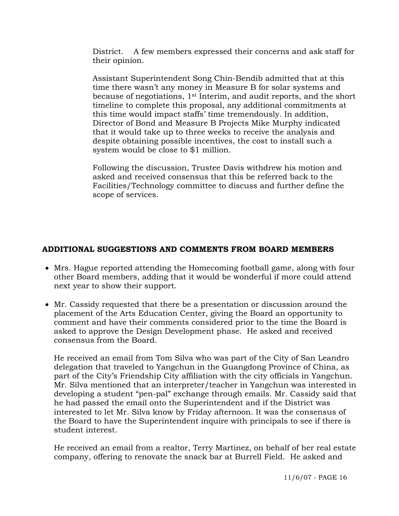District. A few members expressed their concerns and ask staff for their opinion.

Assistant Superintendent Song Chin-Bendib admitted that at this time there wasn't any money in Measure B for solar systems and because of negotiations, 1st Interim, and audit reports, and the short timeline to complete this proposal, any additional commitments at this time would impact staffs' time tremendously. In addition, Director of Bond and Measure B Projects Mike Murphy indicated that it would take up to three weeks to receive the analysis and despite obtaining possible incentives, the cost to install such a system would be close to \$1 million.

Following the discussion, Trustee Davis withdrew his motion and asked and received consensus that this be referred back to the Facilities/Technology committee to discuss and further define the scope of services.

# **ADDITIONAL SUGGESTIONS AND COMMENTS FROM BOARD MEMBERS**

- Mrs. Hague reported attending the Homecoming football game, along with four other Board members, adding that it would be wonderful if more could attend next year to show their support.
- Mr. Cassidy requested that there be a presentation or discussion around the placement of the Arts Education Center, giving the Board an opportunity to comment and have their comments considered prior to the time the Board is asked to approve the Design Development phase. He asked and received consensus from the Board.

 He received an email from Tom Silva who was part of the City of San Leandro delegation that traveled to Yangchun in the Guangdong Province of China, as part of the City's Friendship City affiliation with the city officials in Yangchun. Mr. Silva mentioned that an interpreter/teacher in Yangchun was interested in developing a student "pen-pal" exchange through emails. Mr. Cassidy said that he had passed the email onto the Superintendent and if the District was interested to let Mr. Silva know by Friday afternoon. It was the consensus of the Board to have the Superintendent inquire with principals to see if there is student interest.

 He received an email from a realtor, Terry Martinez, on behalf of her real estate company, offering to renovate the snack bar at Burrell Field. He asked and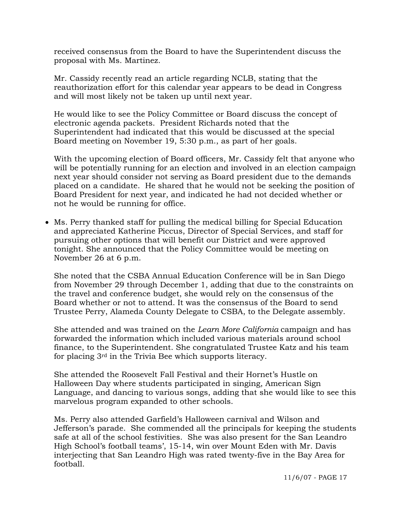received consensus from the Board to have the Superintendent discuss the proposal with Ms. Martinez.

 Mr. Cassidy recently read an article regarding NCLB, stating that the reauthorization effort for this calendar year appears to be dead in Congress and will most likely not be taken up until next year.

 He would like to see the Policy Committee or Board discuss the concept of electronic agenda packets. President Richards noted that the Superintendent had indicated that this would be discussed at the special Board meeting on November 19, 5:30 p.m., as part of her goals.

 With the upcoming election of Board officers, Mr. Cassidy felt that anyone who will be potentially running for an election and involved in an election campaign next year should consider not serving as Board president due to the demands placed on a candidate. He shared that he would not be seeking the position of Board President for next year, and indicated he had not decided whether or not he would be running for office.

• Ms. Perry thanked staff for pulling the medical billing for Special Education and appreciated Katherine Piccus, Director of Special Services, and staff for pursuing other options that will benefit our District and were approved tonight. She announced that the Policy Committee would be meeting on November 26 at 6 p.m.

 She noted that the CSBA Annual Education Conference will be in San Diego from November 29 through December 1, adding that due to the constraints on the travel and conference budget, she would rely on the consensus of the Board whether or not to attend. It was the consensus of the Board to send Trustee Perry, Alameda County Delegate to CSBA, to the Delegate assembly.

 She attended and was trained on the *Learn More California* campaign and has forwarded the information which included various materials around school finance, to the Superintendent. She congratulated Trustee Katz and his team for placing 3rd in the Trivia Bee which supports literacy.

 She attended the Roosevelt Fall Festival and their Hornet's Hustle on Halloween Day where students participated in singing, American Sign Language, and dancing to various songs, adding that she would like to see this marvelous program expanded to other schools.

 Ms. Perry also attended Garfield's Halloween carnival and Wilson and Jefferson's parade. She commended all the principals for keeping the students safe at all of the school festivities. She was also present for the San Leandro High School's football teams', 15-14, win over Mount Eden with Mr. Davis interjecting that San Leandro High was rated twenty-five in the Bay Area for football.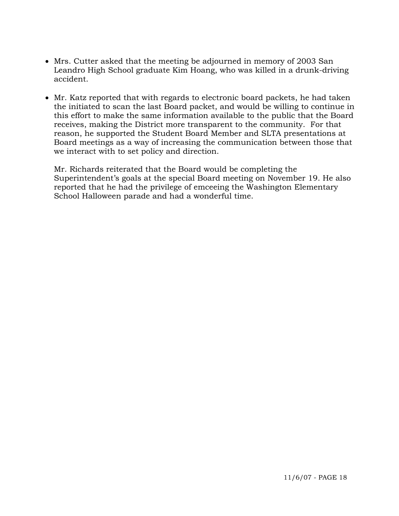- Mrs. Cutter asked that the meeting be adjourned in memory of 2003 San Leandro High School graduate Kim Hoang, who was killed in a drunk-driving accident.
- Mr. Katz reported that with regards to electronic board packets, he had taken the initiated to scan the last Board packet, and would be willing to continue in this effort to make the same information available to the public that the Board receives, making the District more transparent to the community. For that reason, he supported the Student Board Member and SLTA presentations at Board meetings as a way of increasing the communication between those that we interact with to set policy and direction.

 Mr. Richards reiterated that the Board would be completing the Superintendent's goals at the special Board meeting on November 19. He also reported that he had the privilege of emceeing the Washington Elementary School Halloween parade and had a wonderful time.